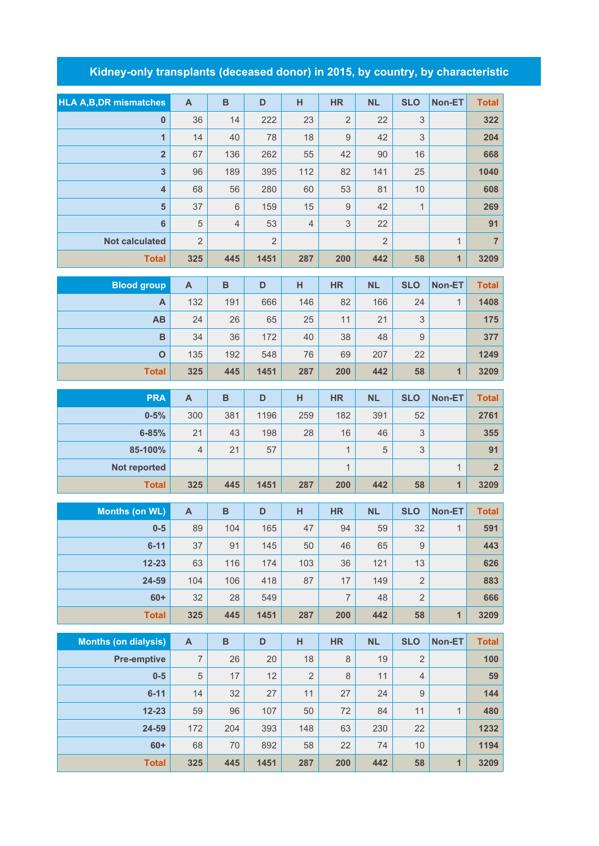## **Kidney-only transplants (deceased donor) in 2015, by country, by characteristic**

| <b>HLA A, B, DR mismatches</b> | $\mathbf{A}$              | B              | D              | H              | <b>HR</b>      | <b>NL</b>      | <b>SLO</b>                | Non-ET       | <b>Total</b>   |
|--------------------------------|---------------------------|----------------|----------------|----------------|----------------|----------------|---------------------------|--------------|----------------|
| $\bf{0}$                       | 36                        | 14             | 222            | 23             | $\overline{2}$ | 22             | 3                         |              | 322            |
| $\overline{1}$                 | 14                        | 40             | 78             | 18             | $\mathsf 9$    | 42             | 3                         |              | 204            |
| $\overline{\mathbf{2}}$        | 67                        | 136            | 262            | 55             | 42             | 90             | 16                        |              | 668            |
| $\overline{\mathbf{3}}$        | 96                        | 189            | 395            | 112            | 82             | 141            | 25                        |              | 1040           |
| $\overline{\mathbf{4}}$        | 68                        | 56             | 280            | 60             | 53             | 81             | 10                        |              | 608            |
| $5\phantom{1}$                 | 37                        | $6\,$          | 159            | 15             | $\overline{9}$ | 42             | $\mathbf{1}$              |              | 269            |
| 6                              | 5                         | $\overline{4}$ | 53             | $\overline{4}$ | 3              | 22             |                           |              | 91             |
| <b>Not calculated</b>          | $\overline{2}$            |                | $\overline{2}$ |                |                | $\overline{2}$ |                           | $\mathbf{1}$ | $\overline{7}$ |
| <b>Total</b>                   | 325                       | 445            | 1451           | 287            | 200            | 442            | 58                        | $\mathbf{1}$ | 3209           |
| <b>Blood group</b>             | $\mathsf{A}$              | $\overline{B}$ | D              | H              | <b>HR</b>      | <b>NL</b>      | <b>SLO</b>                | Non-ET       | <b>Total</b>   |
| A                              | 132                       | 191            | 666            | 146            | 82             | 166            | 24                        | $\mathbf{1}$ | 1408           |
| AB                             | 24                        | 26             | 65             | 25             | 11             | 21             | $\mathsf 3$               |              | 175            |
| B                              | 34                        | 36             | 172            | 40             | 38             | 48             | $9$                       |              | 377            |
| $\mathbf{o}$                   | 135                       | 192            | 548            | 76             | 69             | 207            | 22                        |              | 1249           |
| <b>Total</b>                   | 325                       | 445            | 1451           | 287            | 200            | 442            | 58                        | $\mathbf{1}$ | 3209           |
| <b>PRA</b>                     | $\mathsf{A}$              | $\overline{B}$ | D              | H              | <b>HR</b>      | <b>NL</b>      | <b>SLO</b>                | Non-ET       | <b>Total</b>   |
| $0 - 5%$                       | 300                       | 381            | 1196           | 259            | 182            | 391            | 52                        |              | 2761           |
| $6 - 85%$                      | 21                        | 43             | 198            | 28             | 16             | 46             | $\ensuremath{\mathsf{3}}$ |              | 355            |
| 85-100%                        | $\overline{4}$            | 21             | 57             |                | $\mathbf{1}$   | 5              | 3                         |              | 91             |
| Not reported                   |                           |                |                |                | $\mathbf{1}$   |                |                           | $\mathbf 1$  | $\overline{2}$ |
| <b>Total</b>                   | 325                       | 445            | 1451           | 287            | 200            | 442            | 58                        | 1            | 3209           |
|                                |                           |                |                |                |                |                |                           |              |                |
| <b>Months (on WL)</b>          | $\mathsf{A}$              | $\overline{B}$ | D              | н              | <b>HR</b>      | <b>NL</b>      | <b>SLO</b>                | Non-ET       | <b>Total</b>   |
| $0-5$                          | 89                        | 104            | 165            | 47             | 94             | 59             | 32                        | $\mathbf{1}$ | 591            |
| $6 - 11$                       | 37                        | 91             | 145            | 50             | 46             | 65             | $\hbox{9}$                |              | 443            |
| $12 - 23$                      | 63                        | 116            | 174            | 103            | 36             | 121            | 13                        |              | 626            |
| 24-59                          | 104                       | 106            | 418            | 87             | 17             | 149            | $\sqrt{2}$                |              | 883            |
| $60+$                          | 32                        | 28             | 549            |                | $\overline{7}$ | 48             | $\overline{2}$            |              | 666            |
| <b>Total</b>                   | 325                       | 445            | 1451           | 287            | 200            | 442            | 58                        | 1            | 3209           |
| <b>Months (on dialysis)</b>    | $\boldsymbol{\mathsf{A}}$ | B              | D              | H              | <b>HR</b>      | <b>NL</b>      | <b>SLO</b>                | Non-ET       | <b>Total</b>   |
| <b>Pre-emptive</b>             | $\overline{7}$            | 26             | 20             | 18             | 8              | 19             | $\overline{2}$            |              | 100            |
| $0-5$                          | $\sqrt{5}$                | 17             | 12             | $\overline{2}$ | 8              | 11             | $\sqrt{4}$                |              | 59             |
| $6 - 11$                       | 14                        | 32             | 27             | 11             | 27             | 24             | 9                         |              | 144            |
| $12 - 23$                      | 59                        | 96             | 107            | 50             | 72             | 84             | 11                        | $\mathbf{1}$ | 480            |
| 24-59                          | 172                       | 204            | 393            | 148            | 63             | 230            | 22                        |              | 1232           |
| $60+$                          | 68                        | 70             | 892            | 58             | 22             | 74             | 10                        |              | 1194           |
| <b>Total</b>                   | 325                       | 445            | 1451           | 287            | 200            | 442            | 58                        | $\mathbf{1}$ | 3209           |